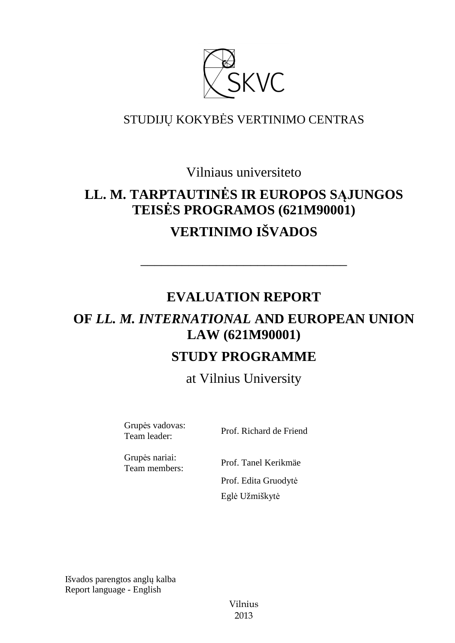

# STUDIJŲ KOKYBĖS VERTINIMO CENTRAS

Vilniaus universiteto

# **LL. M. TARPTAUTINĖS IR EUROPOS SĄJUNGOS TEISĖS PROGRAMOS (621M90001) VERTINIMO IŠVADOS**

# **EVALUATION REPORT**

––––––––––––––––––––––––––––––

# **OF** *LL. M. INTERNATIONAL* **AND EUROPEAN UNION LAW (621M90001)**

# **STUDY PROGRAMME**

at Vilnius University

Grupės vadovas:

Team leader: Prof. Richard de Friend

Grupės nariai:

Team members: Prof. Tanel Kerikmäe Prof. Edita Gruodytė Eglė Užmiškytė

Išvados parengtos anglų kalba Report language - English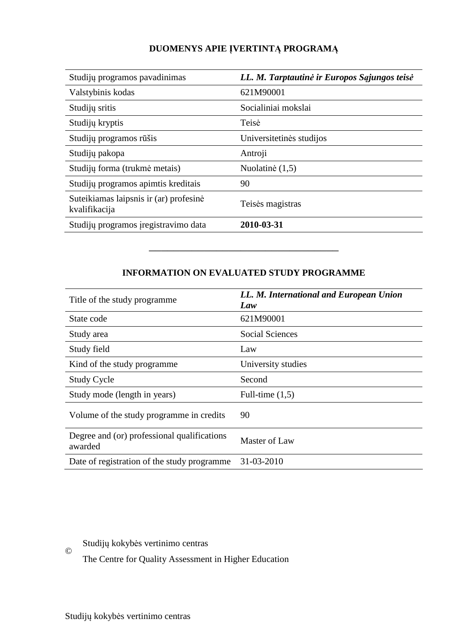# **DUOMENYS APIE ĮVERTINTĄ PROGRAMĄ**

| Studijų programos pavadinimas                           | LL. M. Tarptautinė ir Europos Sąjungos teisė |
|---------------------------------------------------------|----------------------------------------------|
| Valstybinis kodas                                       | 621M90001                                    |
| Studijų sritis                                          | Socialiniai mokslai                          |
| Studijų kryptis                                         | Teisė                                        |
| Studijų programos rūšis                                 | Universitetinės studijos                     |
| Studijų pakopa                                          | Antroji                                      |
| Studijų forma (trukmė metais)                           | Nuolatinė (1,5)                              |
| Studijų programos apimtis kreditais                     | 90                                           |
| Suteikiamas laipsnis ir (ar) profesinė<br>kvalifikacija | Teisės magistras                             |
| Studijų programos įregistravimo data                    | 2010-03-31                                   |

# **INFORMATION ON EVALUATED STUDY PROGRAMME**

–––––––––––––––––––––––––––––––

| Title of the study programme.                          | LL. M. International and European Union<br>Law |
|--------------------------------------------------------|------------------------------------------------|
| State code                                             | 621M90001                                      |
| Study area                                             | <b>Social Sciences</b>                         |
| Study field                                            | Law                                            |
| Kind of the study programme                            | University studies                             |
| Study Cycle                                            | Second                                         |
| Study mode (length in years)                           | Full-time $(1,5)$                              |
| Volume of the study programme in credits               | 90                                             |
| Degree and (or) professional qualifications<br>awarded | Master of Law                                  |
| Date of registration of the study programme            | 31-03-2010                                     |

Studijų kokybės vertinimo centras

The Centre for Quality Assessment in Higher Education

©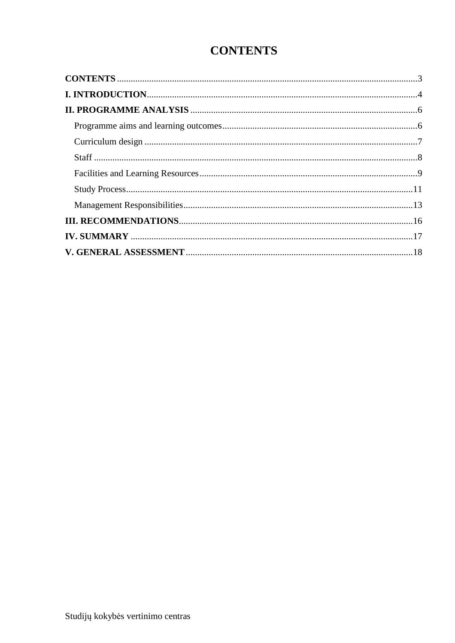# **CONTENTS**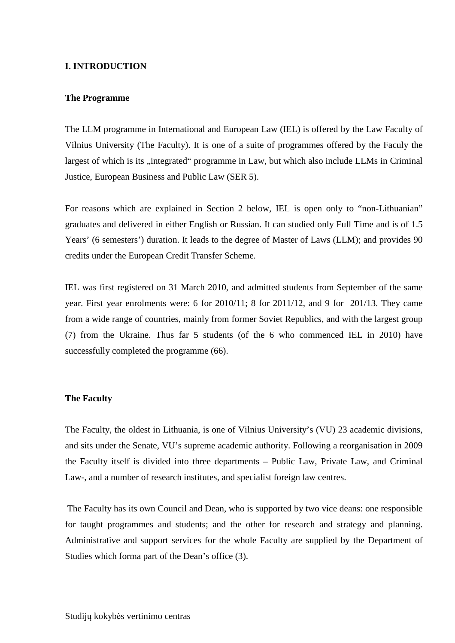#### **I. INTRODUCTION**

#### **The Programme**

The LLM programme in International and European Law (IEL) is offered by the Law Faculty of Vilnius University (The Faculty). It is one of a suite of programmes offered by the Faculy the largest of which is its "integrated" programme in Law, but which also include LLMs in Criminal Justice, European Business and Public Law (SER 5).

For reasons which are explained in Section 2 below, IEL is open only to "non-Lithuanian" graduates and delivered in either English or Russian. It can studied only Full Time and is of 1.5 Years' (6 semesters') duration. It leads to the degree of Master of Laws (LLM); and provides 90 credits under the European Credit Transfer Scheme.

IEL was first registered on 31 March 2010, and admitted students from September of the same year. First year enrolments were: 6 for 2010/11; 8 for 2011/12, and 9 for 201/13. They came from a wide range of countries, mainly from former Soviet Republics, and with the largest group (7) from the Ukraine. Thus far 5 students (of the 6 who commenced IEL in 2010) have successfully completed the programme  $(66)$ .

#### **The Faculty**

The Faculty, the oldest in Lithuania, is one of Vilnius University's (VU) 23 academic divisions, and sits under the Senate, VU's supreme academic authority. Following a reorganisation in 2009 the Faculty itself is divided into three departments – Public Law, Private Law, and Criminal Law-, and a number of research institutes, and specialist foreign law centres.

 The Faculty has its own Council and Dean, who is supported by two vice deans: one responsible for taught programmes and students; and the other for research and strategy and planning. Administrative and support services for the whole Faculty are supplied by the Department of Studies which forma part of the Dean's office (3).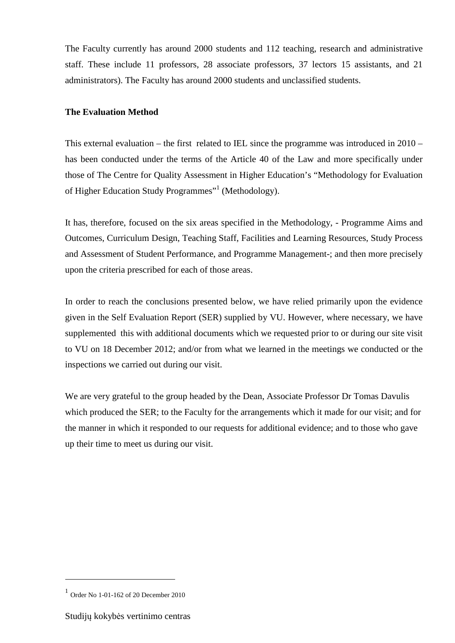The Faculty currently has around 2000 students and 112 teaching, research and administrative staff. These include 11 professors, 28 associate professors, 37 lectors 15 assistants, and 21 administrators). The Faculty has around 2000 students and unclassified students.

## **The Evaluation Method**

This external evaluation – the first related to IEL since the programme was introduced in 2010 – has been conducted under the terms of the Article 40 of the Law and more specifically under those of The Centre for Quality Assessment in Higher Education's "Methodology for Evaluation of Higher Education Study Programmes"<sup>1</sup> (Methodology).

It has, therefore, focused on the six areas specified in the Methodology, - Programme Aims and Outcomes, Curriculum Design, Teaching Staff, Facilities and Learning Resources, Study Process and Assessment of Student Performance, and Programme Management-; and then more precisely upon the criteria prescribed for each of those areas.

In order to reach the conclusions presented below, we have relied primarily upon the evidence given in the Self Evaluation Report (SER) supplied by VU. However, where necessary, we have supplemented this with additional documents which we requested prior to or during our site visit to VU on 18 December 2012; and/or from what we learned in the meetings we conducted or the inspections we carried out during our visit.

We are very grateful to the group headed by the Dean, Associate Professor Dr Tomas Davulis which produced the SER; to the Faculty for the arrangements which it made for our visit; and for the manner in which it responded to our requests for additional evidence; and to those who gave up their time to meet us during our visit.

 $\overline{a}$ 

<sup>1</sup> Order No 1-01-162 of 20 December 2010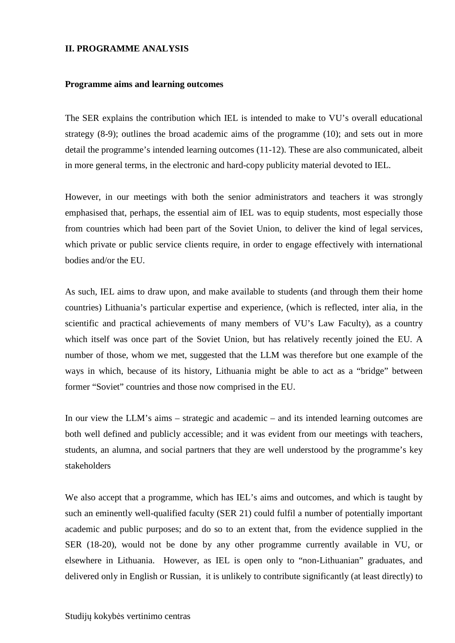#### **II. PROGRAMME ANALYSIS**

#### **Programme aims and learning outcomes**

The SER explains the contribution which IEL is intended to make to VU's overall educational strategy (8-9); outlines the broad academic aims of the programme (10); and sets out in more detail the programme's intended learning outcomes (11-12). These are also communicated, albeit in more general terms, in the electronic and hard-copy publicity material devoted to IEL.

However, in our meetings with both the senior administrators and teachers it was strongly emphasised that, perhaps, the essential aim of IEL was to equip students, most especially those from countries which had been part of the Soviet Union, to deliver the kind of legal services, which private or public service clients require, in order to engage effectively with international bodies and/or the EU.

As such, IEL aims to draw upon, and make available to students (and through them their home countries) Lithuania's particular expertise and experience, (which is reflected, inter alia, in the scientific and practical achievements of many members of VU's Law Faculty), as a country which itself was once part of the Soviet Union, but has relatively recently joined the EU. A number of those, whom we met, suggested that the LLM was therefore but one example of the ways in which, because of its history, Lithuania might be able to act as a "bridge" between former "Soviet" countries and those now comprised in the EU.

In our view the LLM's aims – strategic and academic – and its intended learning outcomes are both well defined and publicly accessible; and it was evident from our meetings with teachers, students, an alumna, and social partners that they are well understood by the programme's key stakeholders

We also accept that a programme, which has IEL's aims and outcomes, and which is taught by such an eminently well-qualified faculty (SER 21) could fulfil a number of potentially important academic and public purposes; and do so to an extent that, from the evidence supplied in the SER (18-20), would not be done by any other programme currently available in VU, or elsewhere in Lithuania. However, as IEL is open only to "non-Lithuanian" graduates, and delivered only in English or Russian, it is unlikely to contribute significantly (at least directly) to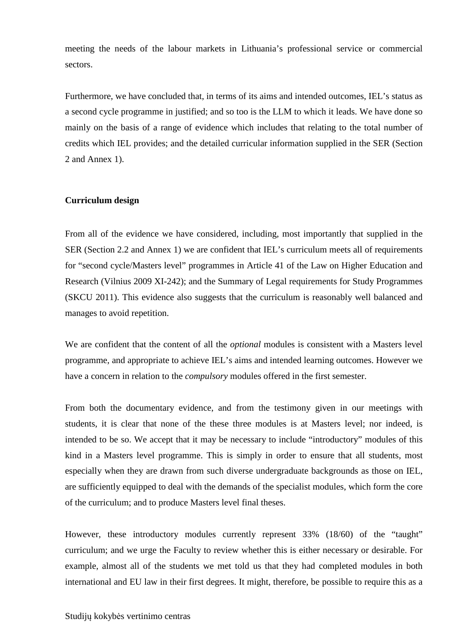meeting the needs of the labour markets in Lithuania's professional service or commercial sectors.

Furthermore, we have concluded that, in terms of its aims and intended outcomes, IEL's status as a second cycle programme in justified; and so too is the LLM to which it leads. We have done so mainly on the basis of a range of evidence which includes that relating to the total number of credits which IEL provides; and the detailed curricular information supplied in the SER (Section 2 and Annex 1).

#### **Curriculum design**

From all of the evidence we have considered, including, most importantly that supplied in the SER (Section 2.2 and Annex 1) we are confident that IEL's curriculum meets all of requirements for "second cycle/Masters level" programmes in Article 41 of the Law on Higher Education and Research (Vilnius 2009 XI-242); and the Summary of Legal requirements for Study Programmes (SKCU 2011). This evidence also suggests that the curriculum is reasonably well balanced and manages to avoid repetition.

We are confident that the content of all the *optional* modules is consistent with a Masters level programme, and appropriate to achieve IEL's aims and intended learning outcomes. However we have a concern in relation to the *compulsory* modules offered in the first semester.

From both the documentary evidence, and from the testimony given in our meetings with students, it is clear that none of the these three modules is at Masters level; nor indeed, is intended to be so. We accept that it may be necessary to include "introductory" modules of this kind in a Masters level programme. This is simply in order to ensure that all students, most especially when they are drawn from such diverse undergraduate backgrounds as those on IEL, are sufficiently equipped to deal with the demands of the specialist modules, which form the core of the curriculum; and to produce Masters level final theses.

However, these introductory modules currently represent 33% (18/60) of the "taught" curriculum; and we urge the Faculty to review whether this is either necessary or desirable. For example, almost all of the students we met told us that they had completed modules in both international and EU law in their first degrees. It might, therefore, be possible to require this as a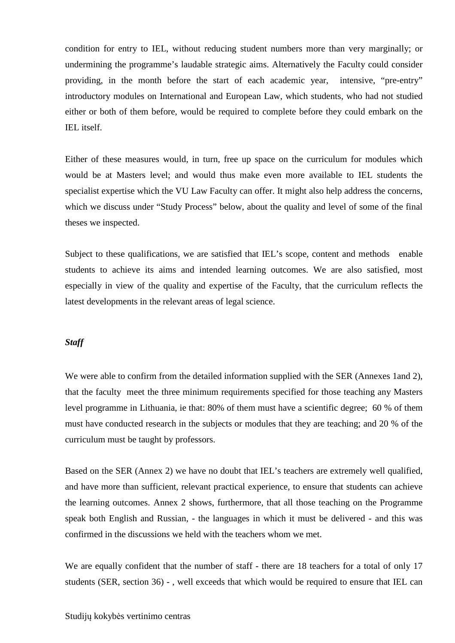condition for entry to IEL, without reducing student numbers more than very marginally; or undermining the programme's laudable strategic aims. Alternatively the Faculty could consider providing, in the month before the start of each academic year, intensive, "pre-entry" introductory modules on International and European Law, which students, who had not studied either or both of them before, would be required to complete before they could embark on the IEL itself.

Either of these measures would, in turn, free up space on the curriculum for modules which would be at Masters level; and would thus make even more available to IEL students the specialist expertise which the VU Law Faculty can offer. It might also help address the concerns, which we discuss under "Study Process" below, about the quality and level of some of the final theses we inspected.

Subject to these qualifications, we are satisfied that IEL's scope, content and methods enable students to achieve its aims and intended learning outcomes. We are also satisfied, most especially in view of the quality and expertise of the Faculty, that the curriculum reflects the latest developments in the relevant areas of legal science.

#### *Staff*

We were able to confirm from the detailed information supplied with the SER (Annexes 1and 2), that the faculty meet the three minimum requirements specified for those teaching any Masters level programme in Lithuania, ie that: 80% of them must have a scientific degree; 60 % of them must have conducted research in the subjects or modules that they are teaching; and 20 % of the curriculum must be taught by professors.

Based on the SER (Annex 2) we have no doubt that IEL's teachers are extremely well qualified, and have more than sufficient, relevant practical experience, to ensure that students can achieve the learning outcomes. Annex 2 shows, furthermore, that all those teaching on the Programme speak both English and Russian, - the languages in which it must be delivered - and this was confirmed in the discussions we held with the teachers whom we met.

We are equally confident that the number of staff - there are 18 teachers for a total of only 17 students (SER, section 36) - , well exceeds that which would be required to ensure that IEL can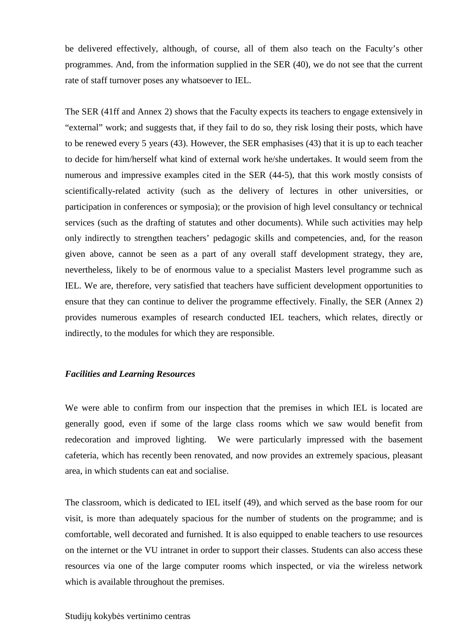be delivered effectively, although, of course, all of them also teach on the Faculty's other programmes. And, from the information supplied in the SER (40), we do not see that the current rate of staff turnover poses any whatsoever to IEL.

The SER (41ff and Annex 2) shows that the Faculty expects its teachers to engage extensively in "external" work; and suggests that, if they fail to do so, they risk losing their posts, which have to be renewed every 5 years (43). However, the SER emphasises (43) that it is up to each teacher to decide for him/herself what kind of external work he/she undertakes. It would seem from the numerous and impressive examples cited in the SER (44-5), that this work mostly consists of scientifically-related activity (such as the delivery of lectures in other universities, or participation in conferences or symposia); or the provision of high level consultancy or technical services (such as the drafting of statutes and other documents). While such activities may help only indirectly to strengthen teachers' pedagogic skills and competencies, and, for the reason given above, cannot be seen as a part of any overall staff development strategy, they are, nevertheless, likely to be of enormous value to a specialist Masters level programme such as IEL. We are, therefore, very satisfied that teachers have sufficient development opportunities to ensure that they can continue to deliver the programme effectively. Finally, the SER (Annex 2) provides numerous examples of research conducted IEL teachers, which relates, directly or indirectly, to the modules for which they are responsible.

#### *Facilities and Learning Resources*

We were able to confirm from our inspection that the premises in which IEL is located are generally good, even if some of the large class rooms which we saw would benefit from redecoration and improved lighting. We were particularly impressed with the basement cafeteria, which has recently been renovated, and now provides an extremely spacious, pleasant area, in which students can eat and socialise.

The classroom, which is dedicated to IEL itself (49), and which served as the base room for our visit, is more than adequately spacious for the number of students on the programme; and is comfortable, well decorated and furnished. It is also equipped to enable teachers to use resources on the internet or the VU intranet in order to support their classes. Students can also access these resources via one of the large computer rooms which inspected, or via the wireless network which is available throughout the premises.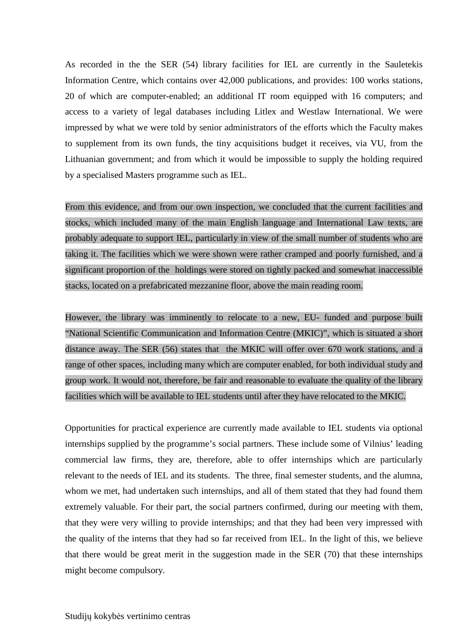As recorded in the the SER (54) library facilities for IEL are currently in the Sauletekis Information Centre, which contains over 42,000 publications, and provides: 100 works stations, 20 of which are computer-enabled; an additional IT room equipped with 16 computers; and access to a variety of legal databases including Litlex and Westlaw International. We were impressed by what we were told by senior administrators of the efforts which the Faculty makes to supplement from its own funds, the tiny acquisitions budget it receives, via VU, from the Lithuanian government; and from which it would be impossible to supply the holding required by a specialised Masters programme such as IEL.

From this evidence, and from our own inspection, we concluded that the current facilities and stocks, which included many of the main English language and International Law texts, are probably adequate to support IEL, particularly in view of the small number of students who are taking it. The facilities which we were shown were rather cramped and poorly furnished, and a significant proportion of the holdings were stored on tightly packed and somewhat inaccessible stacks, located on a prefabricated mezzanine floor, above the main reading room.

However, the library was imminently to relocate to a new, EU- funded and purpose built "National Scientific Communication and Information Centre (MKIC)", which is situated a short distance away. The SER (56) states that the MKIC will offer over 670 work stations, and a range of other spaces, including many which are computer enabled, for both individual study and group work. It would not, therefore, be fair and reasonable to evaluate the quality of the library facilities which will be available to IEL students until after they have relocated to the MKIC.

Opportunities for practical experience are currently made available to IEL students via optional internships supplied by the programme's social partners. These include some of Vilnius' leading commercial law firms, they are, therefore, able to offer internships which are particularly relevant to the needs of IEL and its students. The three, final semester students, and the alumna, whom we met, had undertaken such internships, and all of them stated that they had found them extremely valuable. For their part, the social partners confirmed, during our meeting with them, that they were very willing to provide internships; and that they had been very impressed with the quality of the interns that they had so far received from IEL. In the light of this, we believe that there would be great merit in the suggestion made in the SER (70) that these internships might become compulsory.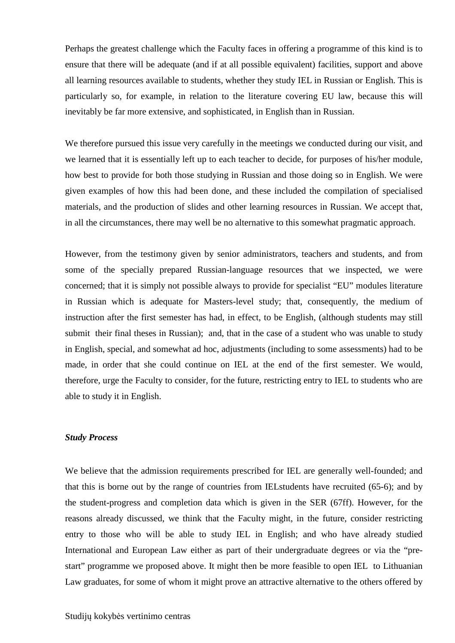Perhaps the greatest challenge which the Faculty faces in offering a programme of this kind is to ensure that there will be adequate (and if at all possible equivalent) facilities, support and above all learning resources available to students, whether they study IEL in Russian or English. This is particularly so, for example, in relation to the literature covering EU law, because this will inevitably be far more extensive, and sophisticated, in English than in Russian.

We therefore pursued this issue very carefully in the meetings we conducted during our visit, and we learned that it is essentially left up to each teacher to decide, for purposes of his/her module, how best to provide for both those studying in Russian and those doing so in English. We were given examples of how this had been done, and these included the compilation of specialised materials, and the production of slides and other learning resources in Russian. We accept that, in all the circumstances, there may well be no alternative to this somewhat pragmatic approach.

However, from the testimony given by senior administrators, teachers and students, and from some of the specially prepared Russian-language resources that we inspected, we were concerned; that it is simply not possible always to provide for specialist "EU" modules literature in Russian which is adequate for Masters-level study; that, consequently, the medium of instruction after the first semester has had, in effect, to be English, (although students may still submit their final theses in Russian); and, that in the case of a student who was unable to study in English, special, and somewhat ad hoc, adjustments (including to some assessments) had to be made, in order that she could continue on IEL at the end of the first semester. We would, therefore, urge the Faculty to consider, for the future, restricting entry to IEL to students who are able to study it in English.

#### *Study Process*

We believe that the admission requirements prescribed for IEL are generally well-founded; and that this is borne out by the range of countries from IELstudents have recruited (65-6); and by the student-progress and completion data which is given in the SER (67ff). However, for the reasons already discussed, we think that the Faculty might, in the future, consider restricting entry to those who will be able to study IEL in English; and who have already studied International and European Law either as part of their undergraduate degrees or via the "prestart" programme we proposed above. It might then be more feasible to open IEL to Lithuanian Law graduates, for some of whom it might prove an attractive alternative to the others offered by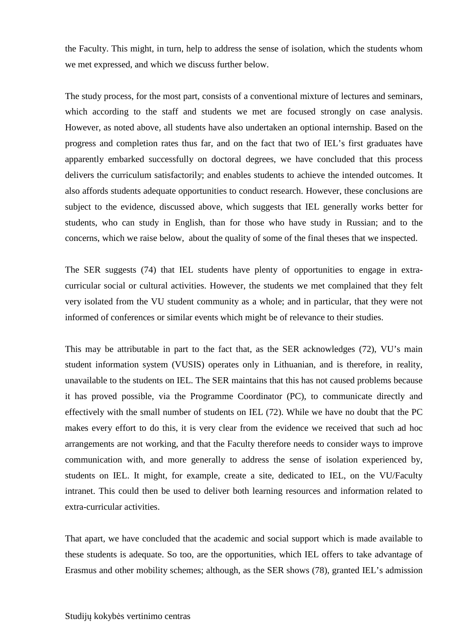the Faculty. This might, in turn, help to address the sense of isolation, which the students whom we met expressed, and which we discuss further below.

The study process, for the most part, consists of a conventional mixture of lectures and seminars, which according to the staff and students we met are focused strongly on case analysis. However, as noted above, all students have also undertaken an optional internship. Based on the progress and completion rates thus far, and on the fact that two of IEL's first graduates have apparently embarked successfully on doctoral degrees, we have concluded that this process delivers the curriculum satisfactorily; and enables students to achieve the intended outcomes. It also affords students adequate opportunities to conduct research. However, these conclusions are subject to the evidence, discussed above, which suggests that IEL generally works better for students, who can study in English, than for those who have study in Russian; and to the concerns, which we raise below, about the quality of some of the final theses that we inspected.

The SER suggests (74) that IEL students have plenty of opportunities to engage in extracurricular social or cultural activities. However, the students we met complained that they felt very isolated from the VU student community as a whole; and in particular, that they were not informed of conferences or similar events which might be of relevance to their studies.

This may be attributable in part to the fact that, as the SER acknowledges (72), VU's main student information system (VUSIS) operates only in Lithuanian, and is therefore, in reality, unavailable to the students on IEL. The SER maintains that this has not caused problems because it has proved possible, via the Programme Coordinator (PC), to communicate directly and effectively with the small number of students on IEL (72). While we have no doubt that the PC makes every effort to do this, it is very clear from the evidence we received that such ad hoc arrangements are not working, and that the Faculty therefore needs to consider ways to improve communication with, and more generally to address the sense of isolation experienced by, students on IEL. It might, for example, create a site, dedicated to IEL, on the VU/Faculty intranet. This could then be used to deliver both learning resources and information related to extra-curricular activities.

That apart, we have concluded that the academic and social support which is made available to these students is adequate. So too, are the opportunities, which IEL offers to take advantage of Erasmus and other mobility schemes; although, as the SER shows (78), granted IEL's admission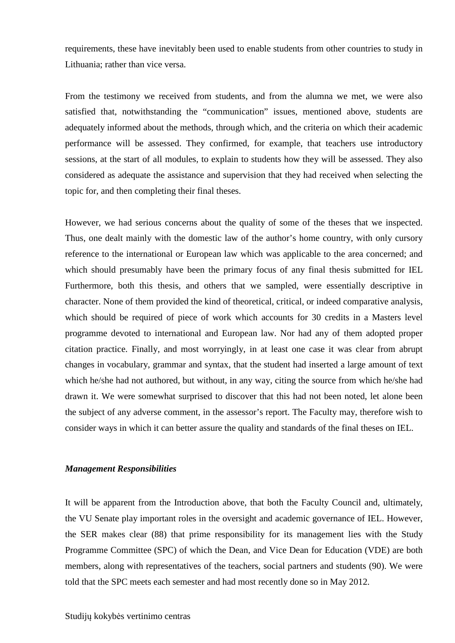requirements, these have inevitably been used to enable students from other countries to study in Lithuania; rather than vice versa.

From the testimony we received from students, and from the alumna we met, we were also satisfied that, notwithstanding the "communication" issues, mentioned above, students are adequately informed about the methods, through which, and the criteria on which their academic performance will be assessed. They confirmed, for example, that teachers use introductory sessions, at the start of all modules, to explain to students how they will be assessed. They also considered as adequate the assistance and supervision that they had received when selecting the topic for, and then completing their final theses.

However, we had serious concerns about the quality of some of the theses that we inspected. Thus, one dealt mainly with the domestic law of the author's home country, with only cursory reference to the international or European law which was applicable to the area concerned; and which should presumably have been the primary focus of any final thesis submitted for IEL Furthermore, both this thesis, and others that we sampled, were essentially descriptive in character. None of them provided the kind of theoretical, critical, or indeed comparative analysis, which should be required of piece of work which accounts for 30 credits in a Masters level programme devoted to international and European law. Nor had any of them adopted proper citation practice. Finally, and most worryingly, in at least one case it was clear from abrupt changes in vocabulary, grammar and syntax, that the student had inserted a large amount of text which he/she had not authored, but without, in any way, citing the source from which he/she had drawn it. We were somewhat surprised to discover that this had not been noted, let alone been the subject of any adverse comment, in the assessor's report. The Faculty may, therefore wish to consider ways in which it can better assure the quality and standards of the final theses on IEL.

#### *Management Responsibilities*

It will be apparent from the Introduction above, that both the Faculty Council and, ultimately, the VU Senate play important roles in the oversight and academic governance of IEL. However, the SER makes clear (88) that prime responsibility for its management lies with the Study Programme Committee (SPC) of which the Dean, and Vice Dean for Education (VDE) are both members, along with representatives of the teachers, social partners and students (90). We were told that the SPC meets each semester and had most recently done so in May 2012.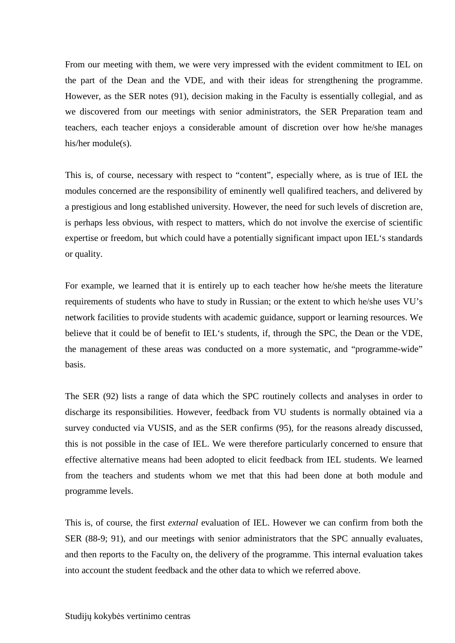From our meeting with them, we were very impressed with the evident commitment to IEL on the part of the Dean and the VDE, and with their ideas for strengthening the programme. However, as the SER notes (91), decision making in the Faculty is essentially collegial, and as we discovered from our meetings with senior administrators, the SER Preparation team and teachers, each teacher enjoys a considerable amount of discretion over how he/she manages his/her module(s).

This is, of course, necessary with respect to "content", especially where, as is true of IEL the modules concerned are the responsibility of eminently well qualifired teachers, and delivered by a prestigious and long established university. However, the need for such levels of discretion are, is perhaps less obvious, with respect to matters, which do not involve the exercise of scientific expertise or freedom, but which could have a potentially significant impact upon IEL's standards or quality.

For example, we learned that it is entirely up to each teacher how he/she meets the literature requirements of students who have to study in Russian; or the extent to which he/she uses VU's network facilities to provide students with academic guidance, support or learning resources. We believe that it could be of benefit to IEL's students, if, through the SPC, the Dean or the VDE, the management of these areas was conducted on a more systematic, and "programme-wide" basis.

The SER (92) lists a range of data which the SPC routinely collects and analyses in order to discharge its responsibilities. However, feedback from VU students is normally obtained via a survey conducted via VUSIS, and as the SER confirms (95), for the reasons already discussed, this is not possible in the case of IEL. We were therefore particularly concerned to ensure that effective alternative means had been adopted to elicit feedback from IEL students. We learned from the teachers and students whom we met that this had been done at both module and programme levels.

This is, of course, the first *external* evaluation of IEL. However we can confirm from both the SER (88-9; 91), and our meetings with senior administrators that the SPC annually evaluates, and then reports to the Faculty on, the delivery of the programme. This internal evaluation takes into account the student feedback and the other data to which we referred above.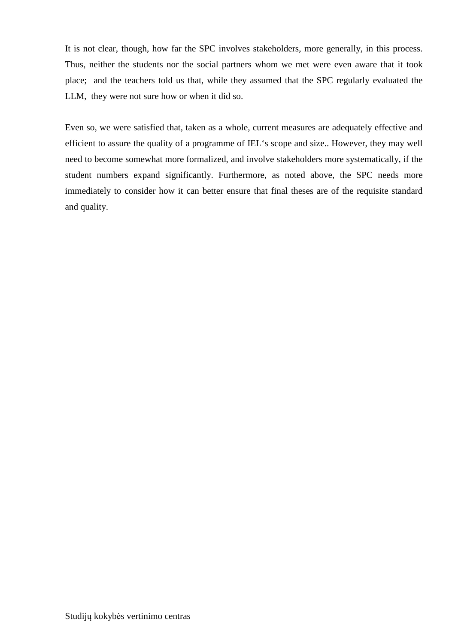It is not clear, though, how far the SPC involves stakeholders, more generally, in this process. Thus, neither the students nor the social partners whom we met were even aware that it took place; and the teachers told us that, while they assumed that the SPC regularly evaluated the LLM, they were not sure how or when it did so.

Even so, we were satisfied that, taken as a whole, current measures are adequately effective and efficient to assure the quality of a programme of IEL's scope and size.. However, they may well need to become somewhat more formalized, and involve stakeholders more systematically, if the student numbers expand significantly. Furthermore, as noted above, the SPC needs more immediately to consider how it can better ensure that final theses are of the requisite standard and quality.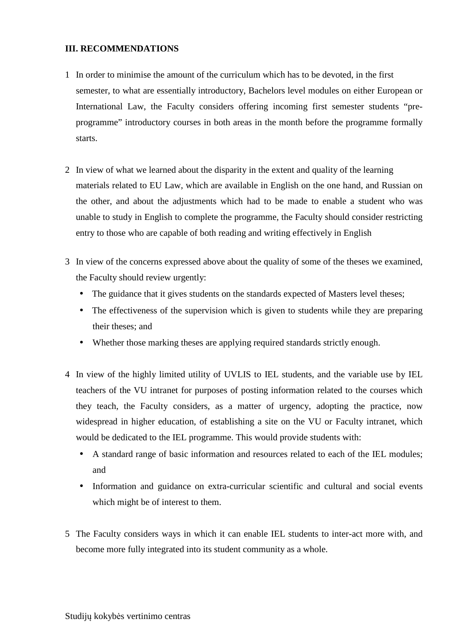# **III. RECOMMENDATIONS**

- 1 In order to minimise the amount of the curriculum which has to be devoted, in the first semester, to what are essentially introductory, Bachelors level modules on either European or International Law, the Faculty considers offering incoming first semester students "preprogramme" introductory courses in both areas in the month before the programme formally starts.
- 2 In view of what we learned about the disparity in the extent and quality of the learning materials related to EU Law, which are available in English on the one hand, and Russian on the other, and about the adjustments which had to be made to enable a student who was unable to study in English to complete the programme, the Faculty should consider restricting entry to those who are capable of both reading and writing effectively in English
- 3 In view of the concerns expressed above about the quality of some of the theses we examined, the Faculty should review urgently:
	- The guidance that it gives students on the standards expected of Masters level theses;
	- The effectiveness of the supervision which is given to students while they are preparing their theses; and
	- Whether those marking theses are applying required standards strictly enough.
- 4 In view of the highly limited utility of UVLIS to IEL students, and the variable use by IEL teachers of the VU intranet for purposes of posting information related to the courses which they teach, the Faculty considers, as a matter of urgency, adopting the practice, now widespread in higher education, of establishing a site on the VU or Faculty intranet, which would be dedicated to the IEL programme. This would provide students with:
	- A standard range of basic information and resources related to each of the IEL modules; and
	- Information and guidance on extra-curricular scientific and cultural and social events which might be of interest to them.
- 5 The Faculty considers ways in which it can enable IEL students to inter-act more with, and become more fully integrated into its student community as a whole.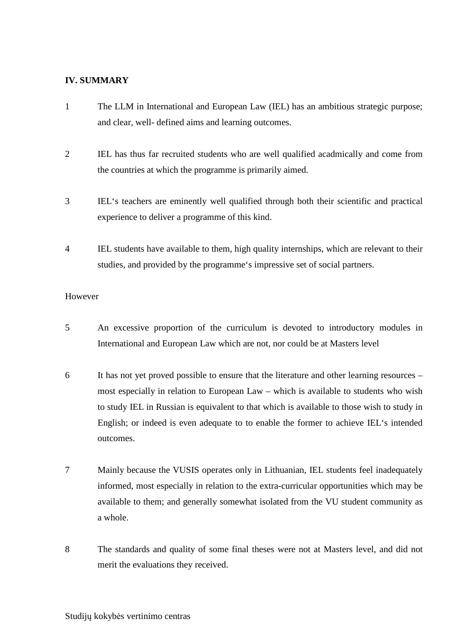## **IV. SUMMARY**

- 1 The LLM in International and European Law (IEL) has an ambitious strategic purpose; and clear, well- defined aims and learning outcomes.
- 2 IEL has thus far recruited students who are well qualified acadmically and come from the countries at which the programme is primarily aimed.
- 3 IEL's teachers are eminently well qualified through both their scientific and practical experience to deliver a programme of this kind.
- 4 IEL students have available to them, high quality internships, which are relevant to their studies, and provided by the programme's impressive set of social partners.

### However

- 5 An excessive proportion of the curriculum is devoted to introductory modules in International and European Law which are not, nor could be at Masters level
- 6 It has not yet proved possible to ensure that the literature and other learning resources most especially in relation to European Law – which is available to students who wish to study IEL in Russian is equivalent to that which is available to those wish to study in English; or indeed is even adequate to to enable the former to achieve IEL's intended outcomes.
- 7 Mainly because the VUSIS operates only in Lithuanian, IEL students feel inadequately informed, most especially in relation to the extra-curricular opportunities which may be available to them; and generally somewhat isolated from the VU student community as a whole.
- 8 The standards and quality of some final theses were not at Masters level, and did not merit the evaluations they received.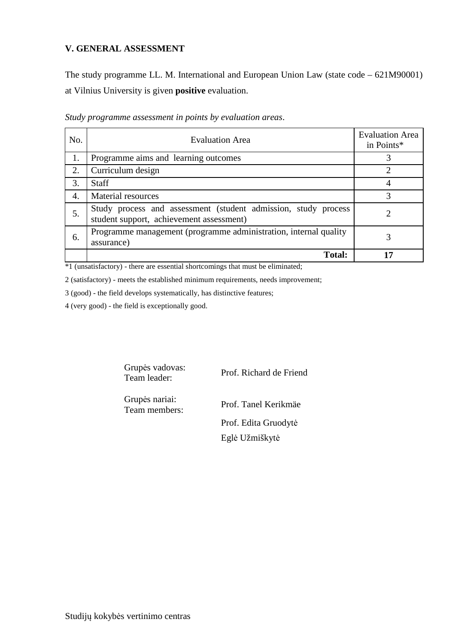# **V. GENERAL ASSESSMENT**

The study programme LL. M. International and European Union Law (state code – 621M90001) at Vilnius University is given **positive** evaluation.

| No. | <b>Evaluation Area</b>                                                                                     | <b>Evaluation Area</b><br>in Points* |
|-----|------------------------------------------------------------------------------------------------------------|--------------------------------------|
| 1.  | Programme aims and learning outcomes                                                                       |                                      |
| 2.  | Curriculum design                                                                                          | 2                                    |
| 3.  | <b>Staff</b>                                                                                               |                                      |
| 4.  | Material resources                                                                                         | 3                                    |
| 5.  | Study process and assessment (student admission, study process<br>student support, achievement assessment) |                                      |
| 6.  | Programme management (programme administration, internal quality<br>assurance)                             |                                      |
|     | <b>Total:</b>                                                                                              | 17                                   |

*Study programme assessment in points by evaluation areas*.

\*1 (unsatisfactory) - there are essential shortcomings that must be eliminated;

2 (satisfactory) - meets the established minimum requirements, needs improvement;

3 (good) - the field develops systematically, has distinctive features;

4 (very good) - the field is exceptionally good.

Grupės vadovas:

Team leader: Prof. Richard de Friend

Grupės nariai:

Team members: Prof. Tanel Kerikmäe Prof. Edita Gruodytė Eglė Užmiškytė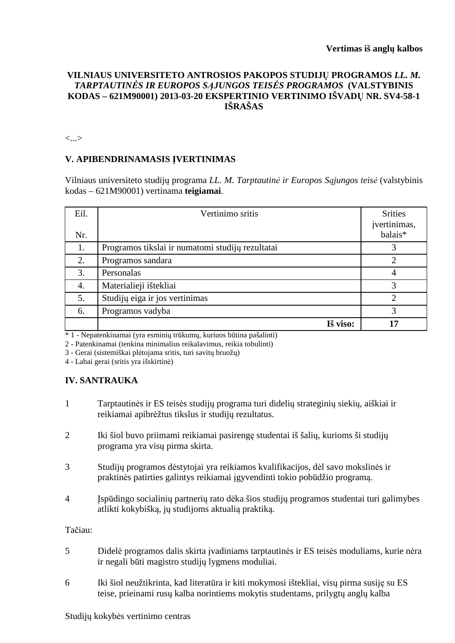# **VILNIAUS UNIVERSITETO ANTROSIOS PAKOPOS STUDIJŲ PROGRAMOS** *LL. M. TARPTAUTINĖS IR EUROPOS SĄJUNGOS TEISĖS PROGRAMOS* **(VALSTYBINIS KODAS – 621M90001) 2013-03-20 EKSPERTINIO VERTINIMO IŠVADŲ NR. SV4-58-1 IŠRAŠAS**

<...>

#### **V. APIBENDRINAMASIS ĮVERTINIMAS**

Vilniaus universiteto studijų programa *LL. M. Tarptautinė ir Europos Sąjungos teisė* (valstybinis kodas – 621M90001) vertinama **teigiamai**.

| Eil. | Vertinimo sritis                                 | <b>Srities</b><br>įvertinimas, |
|------|--------------------------------------------------|--------------------------------|
| Nr.  |                                                  | balais*                        |
| 1.   | Programos tikslai ir numatomi studijų rezultatai |                                |
| 2.   | Programos sandara                                | $\overline{2}$                 |
| 3.   | Personalas                                       | $\overline{4}$                 |
| 4.   | Materialieji ištekliai                           | 3                              |
| 5.   | Studijų eiga ir jos vertinimas                   | っ                              |
| 6.   | Programos vadyba                                 | 3                              |
|      | Iš viso:                                         | 17                             |

\* 1 - Nepatenkinamai (yra esminių trūkumų, kuriuos būtina pašalinti)

2 - Patenkinamai (tenkina minimalius reikalavimus, reikia tobulinti)

3 - Gerai (sistemiškai plėtojama sritis, turi savitų bruožų)

4 - Labai gerai (sritis yra išskirtinė)

#### **IV. SANTRAUKA**

- 1 Tarptautinės ir ES teisės studijų programa turi didelių strateginių siekių, aiškiai ir reikiamai apibrėžtus tikslus ir studijų rezultatus.
- 2 Iki šiol buvo priimami reikiamai pasirengę studentai iš šalių, kurioms ši studijų programa yra visų pirma skirta.
- 3 Studijų programos dėstytojai yra reikiamos kvalifikacijos, dėl savo mokslinės ir praktinės patirties galintys reikiamai įgyvendinti tokio pobūdžio programą.
- 4 Įspūdingo socialinių partnerių rato dėka šios studijų programos studentai turi galimybes atlikti kokybišką, jų studijoms aktualią praktiką.

Tačiau:

- 5 Didelė programos dalis skirta įvadiniams tarptautinės ir ES teisės moduliams, kurie nėra ir negali būti magistro studijų lygmens moduliai.
- 6 Iki šiol neužtikrinta, kad literatūra ir kiti mokymosi ištekliai, visų pirma susiję su ES teise, prieinami rusų kalba norintiems mokytis studentams, prilygtų anglų kalba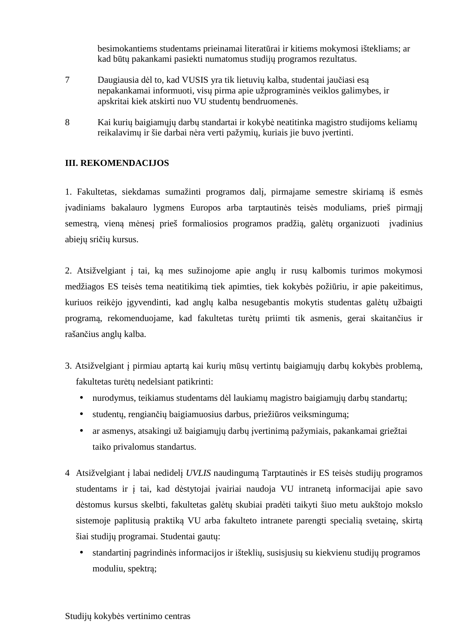besimokantiems studentams prieinamai literatūrai ir kitiems mokymosi ištekliams; ar kad būtų pakankami pasiekti numatomus studijų programos rezultatus.

- 7 Daugiausia dėl to, kad VUSIS yra tik lietuvių kalba, studentai jaučiasi esą nepakankamai informuoti, visų pirma apie užprograminės veiklos galimybes, ir apskritai kiek atskirti nuo VU studentų bendruomenės.
- 8 Kai kurių baigiamųjų darbų standartai ir kokybė neatitinka magistro studijoms keliamų reikalavimų ir šie darbai nėra verti pažymių, kuriais jie buvo įvertinti.

# **III. REKOMENDACIJOS**

1. Fakultetas, siekdamas sumažinti programos dalį, pirmajame semestre skiriamą iš esmės įvadiniams bakalauro lygmens Europos arba tarptautinės teisės moduliams, prieš pirmąjį semestrą, vieną mėnesį prieš formaliosios programos pradžią, galėtų organizuoti įvadinius abiejų sričių kursus.

2. Atsižvelgiant į tai, ką mes sužinojome apie anglų ir rusų kalbomis turimos mokymosi medžiagos ES teisės tema neatitikimą tiek apimties, tiek kokybės požiūriu, ir apie pakeitimus, kuriuos reikėjo įgyvendinti, kad anglų kalba nesugebantis mokytis studentas galėtų užbaigti programą, rekomenduojame, kad fakultetas turėtų priimti tik asmenis, gerai skaitančius ir rašančius anglų kalba.

- 3. Atsižvelgiant į pirmiau aptartą kai kurių mūsų vertintų baigiamųjų darbų kokybės problemą, fakultetas turėtų nedelsiant patikrinti:
	- nurodymus, teikiamus studentams dėl laukiamų magistro baigiamųjų darbų standartų;
	- studentų, rengiančių baigiamuosius darbus, priežiūros veiksmingumą;
	- ar asmenys, atsakingi už baigiamųjų darbų įvertinimą pažymiais, pakankamai griežtai taiko privalomus standartus.
- 4 Atsižvelgiant į labai nedidelį *UVLIS* naudingumą Tarptautinės ir ES teisės studijų programos studentams ir į tai, kad dėstytojai įvairiai naudoja VU intranetą informacijai apie savo dėstomus kursus skelbti, fakultetas galėtų skubiai pradėti taikyti šiuo metu aukštojo mokslo sistemoje paplitusią praktiką VU arba fakulteto intranete parengti specialią svetainę, skirtą šiai studijų programai. Studentai gautų:
	- standartinį pagrindinės informacijos ir išteklių, susisjusių su kiekvienu studijų programos moduliu, spektrą;